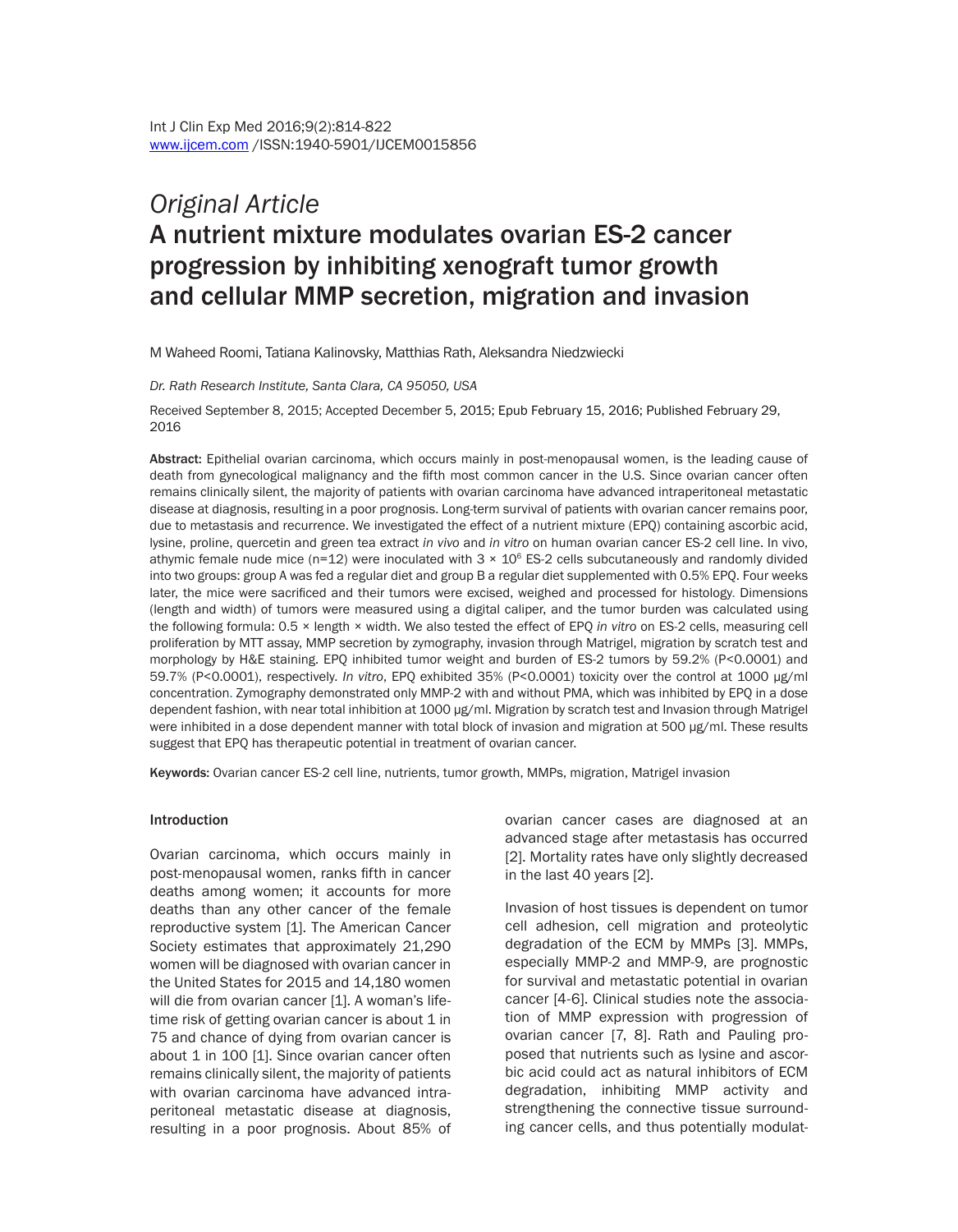# *Original Article* A nutrient mixture modulates ovarian ES-2 cancer progression by inhibiting xenograft tumor growth and cellular MMP secretion, migration and invasion

M Waheed Roomi, Tatiana Kalinovsky, Matthias Rath, Aleksandra Niedzwiecki

*Dr. Rath Research Institute, Santa Clara, CA 95050, USA*

Received September 8, 2015; Accepted December 5, 2015; Epub February 15, 2016; Published February 29, 2016

Abstract: Epithelial ovarian carcinoma, which occurs mainly in post-menopausal women, is the leading cause of death from gynecological malignancy and the fifth most common cancer in the U.S. Since ovarian cancer often remains clinically silent, the majority of patients with ovarian carcinoma have advanced intraperitoneal metastatic disease at diagnosis, resulting in a poor prognosis. Long-term survival of patients with ovarian cancer remains poor, due to metastasis and recurrence. We investigated the effect of a nutrient mixture (EPQ) containing ascorbic acid, lysine, proline, quercetin and green tea extract *in vivo* and *in vitro* on human ovarian cancer ES-2 cell line. In vivo, athymic female nude mice (n=12) were inoculated with  $3 \times 10^6$  ES-2 cells subcutaneously and randomly divided into two groups: group A was fed a regular diet and group B a regular diet supplemented with 0.5% EPQ. Four weeks later, the mice were sacrificed and their tumors were excised, weighed and processed for histology. Dimensions (length and width) of tumors were measured using a digital caliper, and the tumor burden was calculated using the following formula: 0.5 × length × width. We also tested the effect of EPQ *in vitro* on ES-2 cells, measuring cell proliferation by MTT assay, MMP secretion by zymography, invasion through Matrigel, migration by scratch test and morphology by H&E staining. EPQ inhibited tumor weight and burden of ES-2 tumors by 59.2% (P<0.0001) and 59.7% (P<0.0001), respectively. *In vitro*, EPQ exhibited 35% (P<0.0001) toxicity over the control at 1000 µg/ml concentration. Zymography demonstrated only MMP-2 with and without PMA, which was inhibited by EPQ in a dose dependent fashion, with near total inhibition at 1000 µg/ml. Migration by scratch test and Invasion through Matrigel were inhibited in a dose dependent manner with total block of invasion and migration at 500 µg/ml. These results suggest that EPQ has therapeutic potential in treatment of ovarian cancer.

Keywords: Ovarian cancer ES-2 cell line, nutrients, tumor growth, MMPs, migration, Matrigel invasion

#### Introduction

Ovarian carcinoma, which occurs mainly in post-menopausal women, ranks fifth in cancer deaths among women; it accounts for more deaths than any other cancer of the female reproductive system [1]. The American Cancer Society estimates that approximately 21,290 women will be diagnosed with ovarian cancer in the United States for 2015 and 14,180 women will die from ovarian cancer [1]. A woman's lifetime risk of getting ovarian cancer is about  $1$  in 75 and chance of dying from ovarian cancer is about 1 in 100 [1]. Since ovarian cancer often remains clinically silent, the majority of patients with ovarian carcinoma have advanced intraperitoneal metastatic disease at diagnosis, resulting in a poor prognosis. About 85% of ovarian cancer cases are diagnosed at an advanced stage after metastasis has occurred [2]. Mortality rates have only slightly decreased in the last 40 years [2].

Invasion of host tissues is dependent on tumor cell adhesion, cell migration and proteolytic degradation of the ECM by MMPs [3]. MMPs, especially MMP-2 and MMP-9, are prognostic for survival and metastatic potential in ovarian cancer [4-6]. Clinical studies note the association of MMP expression with progression of ovarian cancer [7, 8]. Rath and Pauling proposed that nutrients such as lysine and ascorbic acid could act as natural inhibitors of ECM degradation, inhibiting MMP activity and strengthening the connective tissue surrounding cancer cells, and thus potentially modulat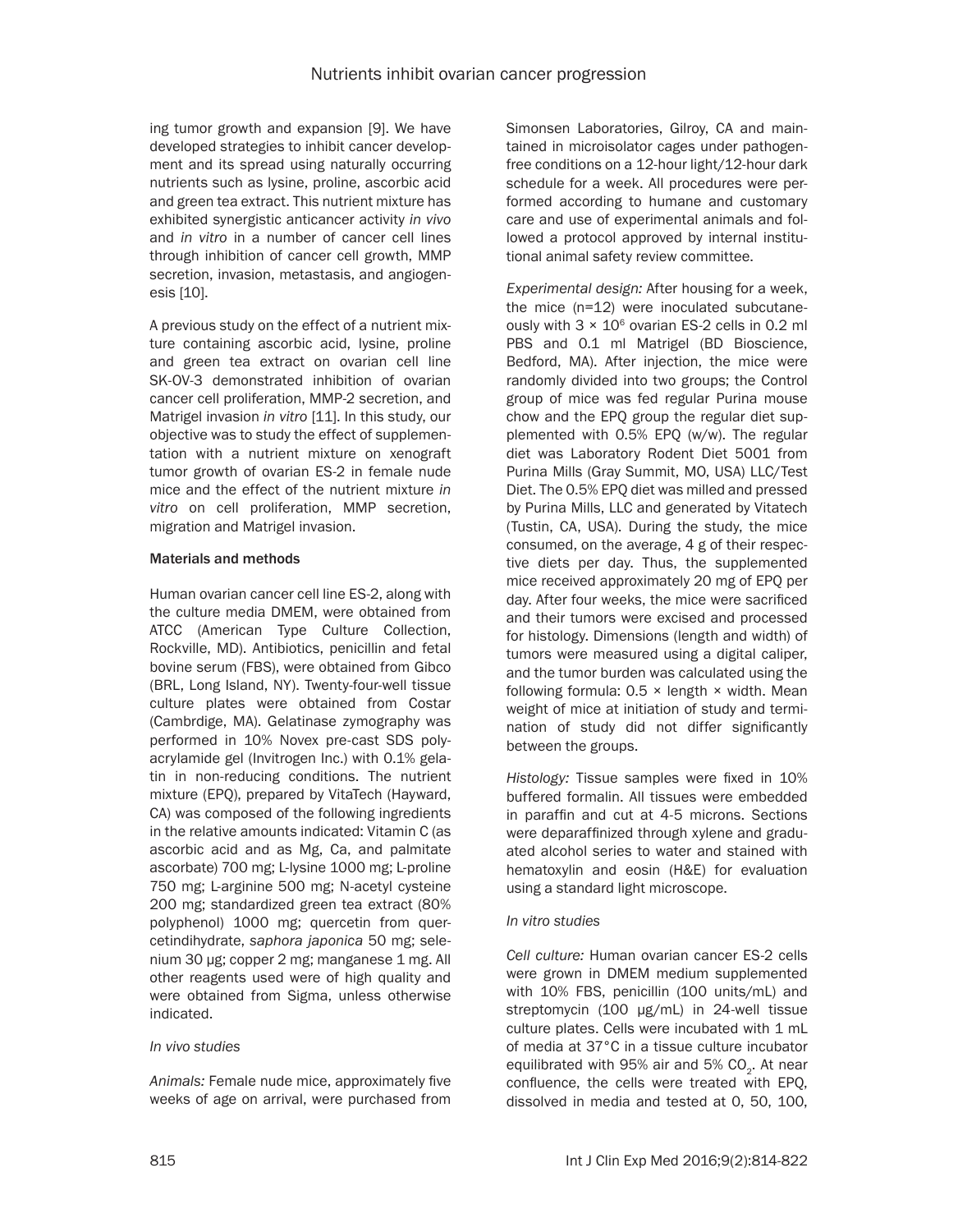ing tumor growth and expansion [9]. We have developed strategies to inhibit cancer development and its spread using naturally occurring nutrients such as lysine, proline, ascorbic acid and green tea extract. This nutrient mixture has exhibited synergistic anticancer activity *in vivo* and *in vitro* in a number of cancer cell lines through inhibition of cancer cell growth, MMP secretion, invasion, metastasis, and angiogenesis [10].

A previous study on the effect of a nutrient mixture containing ascorbic acid, lysine, proline and green tea extract on ovarian cell line SK-OV-3 demonstrated inhibition of ovarian cancer cell proliferation, MMP-2 secretion, and Matrigel invasion *in vitro* [11]. In this study, our objective was to study the effect of supplementation with a nutrient mixture on xenograft tumor growth of ovarian ES-2 in female nude mice and the effect of the nutrient mixture *in vitro* on cell proliferation, MMP secretion, migration and Matrigel invasion.

# Materials and methods

Human ovarian cancer cell line ES-2, along with the culture media DMEM, were obtained from ATCC (American Type Culture Collection, Rockville, MD). Antibiotics, penicillin and fetal bovine serum (FBS), were obtained from Gibco (BRL, Long Island, NY). Twenty-four-well tissue culture plates were obtained from Costar (Cambrdige, MA). Gelatinase zymography was performed in 10% Novex pre-cast SDS polyacrylamide gel (Invitrogen Inc.) with 0.1% gelatin in non-reducing conditions. The nutrient mixture (EPQ), prepared by VitaTech (Hayward, CA) was composed of the following ingredients in the relative amounts indicated: Vitamin C (as ascorbic acid and as Mg, Ca, and palmitate ascorbate) 700 mg; L-lysine 1000 mg; L-proline 750 mg; L-arginine 500 mg; N-acetyl cysteine 200 mg; standardized green tea extract (80% polyphenol) 1000 mg; quercetin from quercetindihydrate, *saphora japonica* 50 mg; selenium 30 μg; copper 2 mg; manganese 1 mg. All other reagents used were of high quality and were obtained from Sigma, unless otherwise indicated.

# *In vivo studies*

*Animals:* Female nude mice, approximately five weeks of age on arrival, were purchased from Simonsen Laboratories, Gilroy, CA and maintained in microisolator cages under pathogenfree conditions on a 12-hour light/12-hour dark schedule for a week. All procedures were performed according to humane and customary care and use of experimental animals and followed a protocol approved by internal institutional animal safety review committee.

*Experimental design:* After housing for a week, the mice (n=12) were inoculated subcutaneously with  $3 \times 10^6$  ovarian ES-2 cells in 0.2 ml PBS and 0.1 ml Matrigel (BD Bioscience, Bedford, MA). After injection, the mice were randomly divided into two groups; the Control group of mice was fed regular Purina mouse chow and the EPQ group the regular diet supplemented with 0.5% EPQ (w/w). The regular diet was Laboratory Rodent Diet 5001 from Purina Mills (Gray Summit, MO, USA) LLC/Test Diet. The 0.5% EPQ diet was milled and pressed by Purina Mills, LLC and generated by Vitatech (Tustin, CA, USA). During the study, the mice consumed, on the average, 4 g of their respective diets per day. Thus, the supplemented mice received approximately 20 mg of EPQ per day. After four weeks, the mice were sacrificed and their tumors were excised and processed for histology. Dimensions (length and width) of tumors were measured using a digital caliper, and the tumor burden was calculated using the following formula:  $0.5 \times$  length  $\times$  width. Mean weight of mice at initiation of study and termination of study did not differ significantly between the groups.

*Histology:* Tissue samples were fixed in 10% buffered formalin. All tissues were embedded in paraffin and cut at 4-5 microns. Sections were deparaffinized through xylene and graduated alcohol series to water and stained with hematoxylin and eosin (H&E) for evaluation using a standard light microscope.

# *In vitro studies*

*Cell culture:* Human ovarian cancer ES-2 cells were grown in DMEM medium supplemented with 10% FBS, penicillin (100 units/mL) and streptomycin (100 μg/mL) in 24-well tissue culture plates. Cells were incubated with 1 mL of media at 37°C in a tissue culture incubator equilibrated with 95% air and 5%  $CO<sub>2</sub>$ . At near confluence, the cells were treated with EPQ, dissolved in media and tested at 0, 50, 100,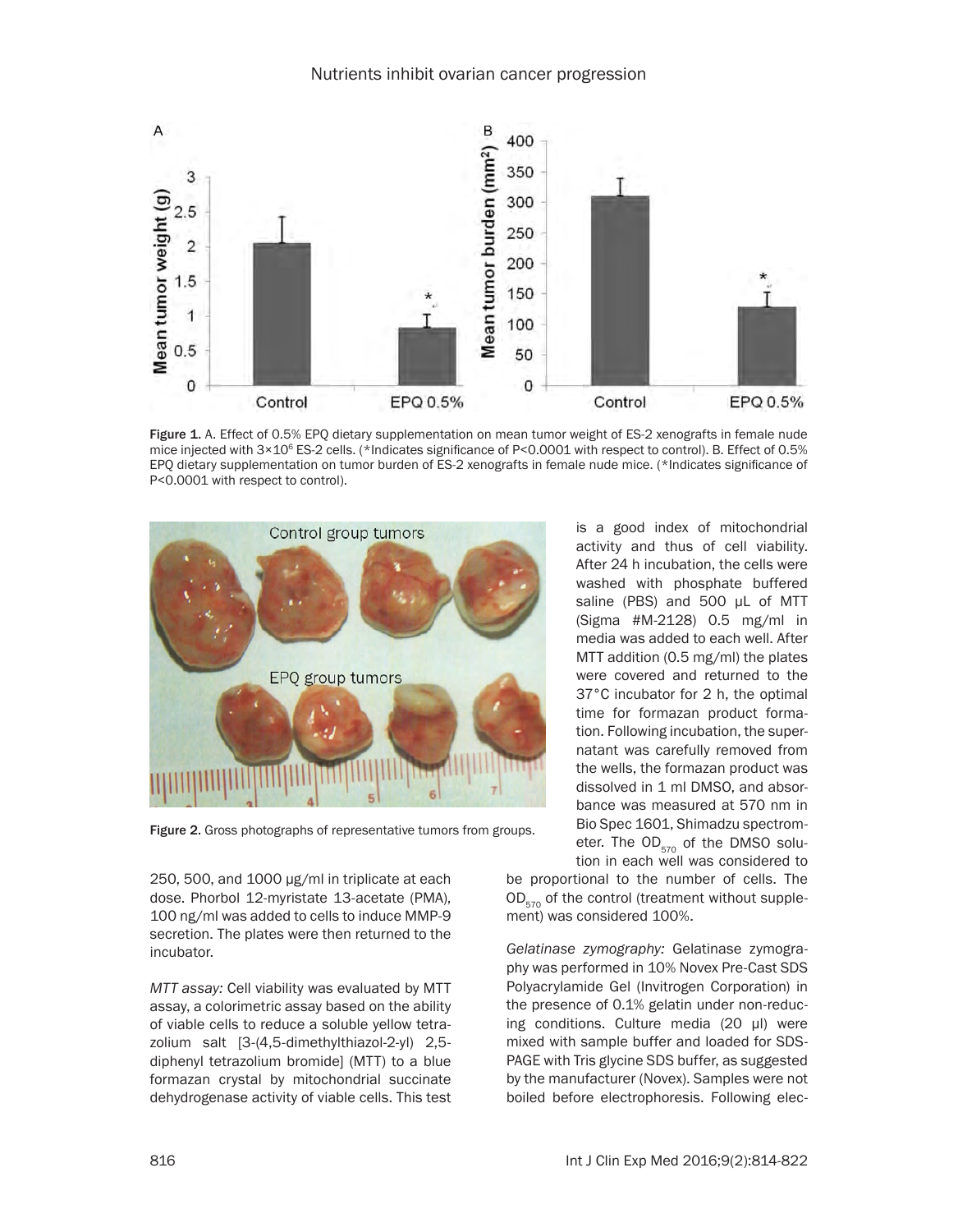

Figure 1. A. Effect of 0.5% EPO dietary supplementation on mean tumor weight of ES-2 xenografts in female nude mice injected with 3×10<sup>6</sup> ES-2 cells. (\*Indicates significance of P<0.0001 with respect to control). B. Effect of 0.5% EPQ dietary supplementation on tumor burden of ES-2 xenografts in female nude mice. (\*Indicates significance of P<0.0001 with respect to control).



Figure 2. Gross photographs of representative tumors from groups.

250, 500, and 1000 µg/ml in triplicate at each dose. Phorbol 12-myristate 13-acetate (PMA), 100 ng/ml was added to cells to induce MMP-9 secretion. The plates were then returned to the incubator.

*MTT assay:* Cell viability was evaluated by MTT assay, a colorimetric assay based on the ability of viable cells to reduce a soluble yellow tetrazolium salt [3-(4,5-dimethylthiazol-2-yl) 2,5 diphenyl tetrazolium bromide] (MTT) to a blue formazan crystal by mitochondrial succinate dehydrogenase activity of viable cells. This test is a good index of mitochondrial activity and thus of cell viability. After 24 h incubation, the cells were washed with phosphate buffered saline (PBS) and 500 μL of MTT (Sigma #M-2128) 0.5 mg/ml in media was added to each well. After MTT addition (0.5 mg/ml) the plates were covered and returned to the 37°C incubator for 2 h, the optimal time for formazan product formation. Following incubation, the supernatant was carefully removed from the wells, the formazan product was dissolved in 1 ml DMSO, and absorbance was measured at 570 nm in Bio Spec 1601, Shimadzu spectrometer. The  $OD_{570}$  of the DMSO solution in each well was considered to

be proportional to the number of cells. The  $OD_{570}$  of the control (treatment without supplement) was considered 100%.

*Gelatinase zymography:* Gelatinase zymography was performed in 10% Novex Pre-Cast SDS Polyacrylamide Gel (Invitrogen Corporation) in the presence of 0.1% gelatin under non-reducing conditions. Culture media (20 μl) were mixed with sample buffer and loaded for SDS-PAGE with Tris glycine SDS buffer, as suggested by the manufacturer (Novex). Samples were not boiled before electrophoresis. Following elec-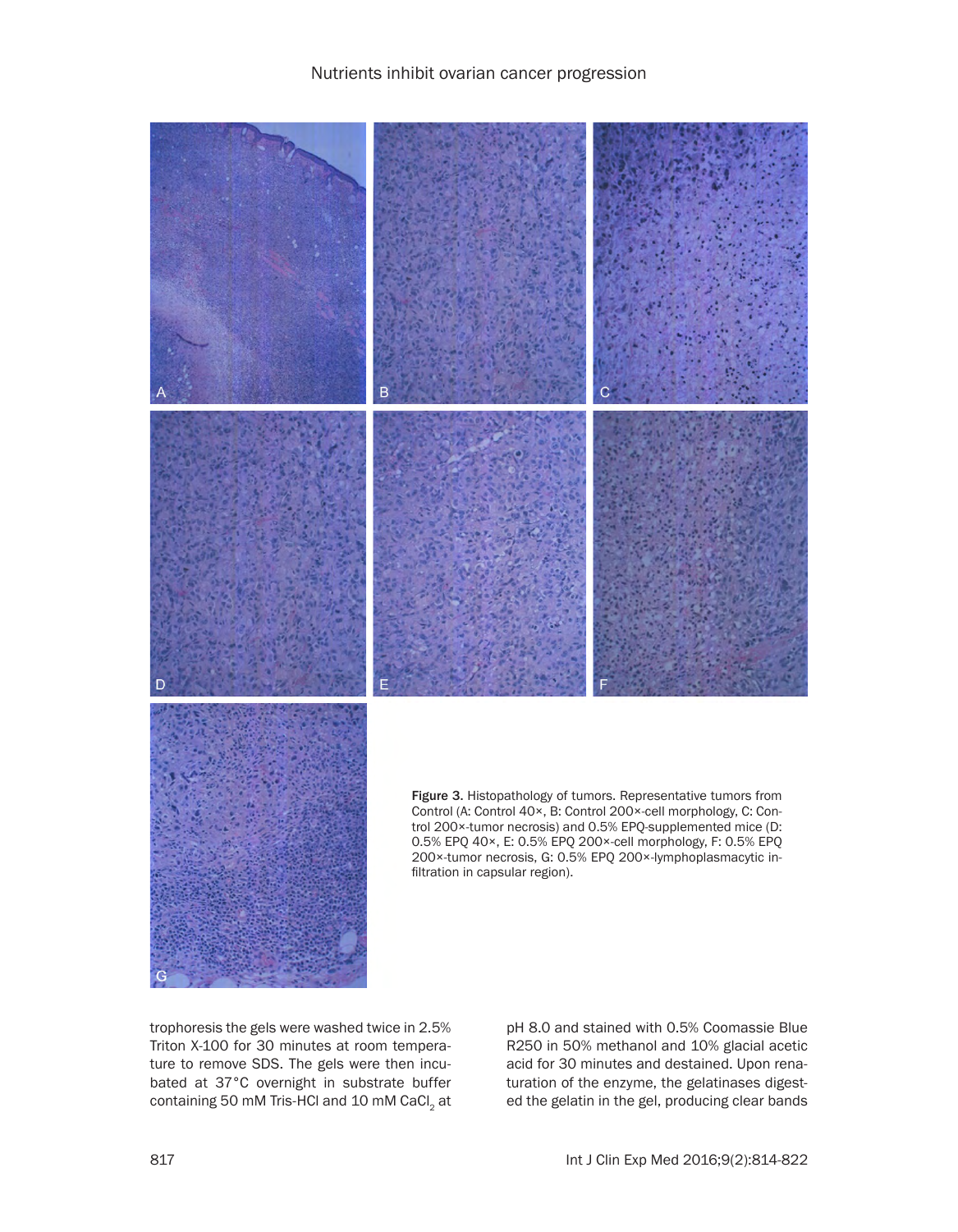

trophoresis the gels were washed twice in 2.5% Triton X-100 for 30 minutes at room temperature to remove SDS. The gels were then incubated at 37°C overnight in substrate buffer containing 50 mM Tris-HCl and 10 mM CaCl<sub>2</sub> at pH 8.0 and stained with 0.5% Coomassie Blue R250 in 50% methanol and 10% glacial acetic acid for 30 minutes and destained. Upon renaturation of the enzyme, the gelatinases digested the gelatin in the gel, producing clear bands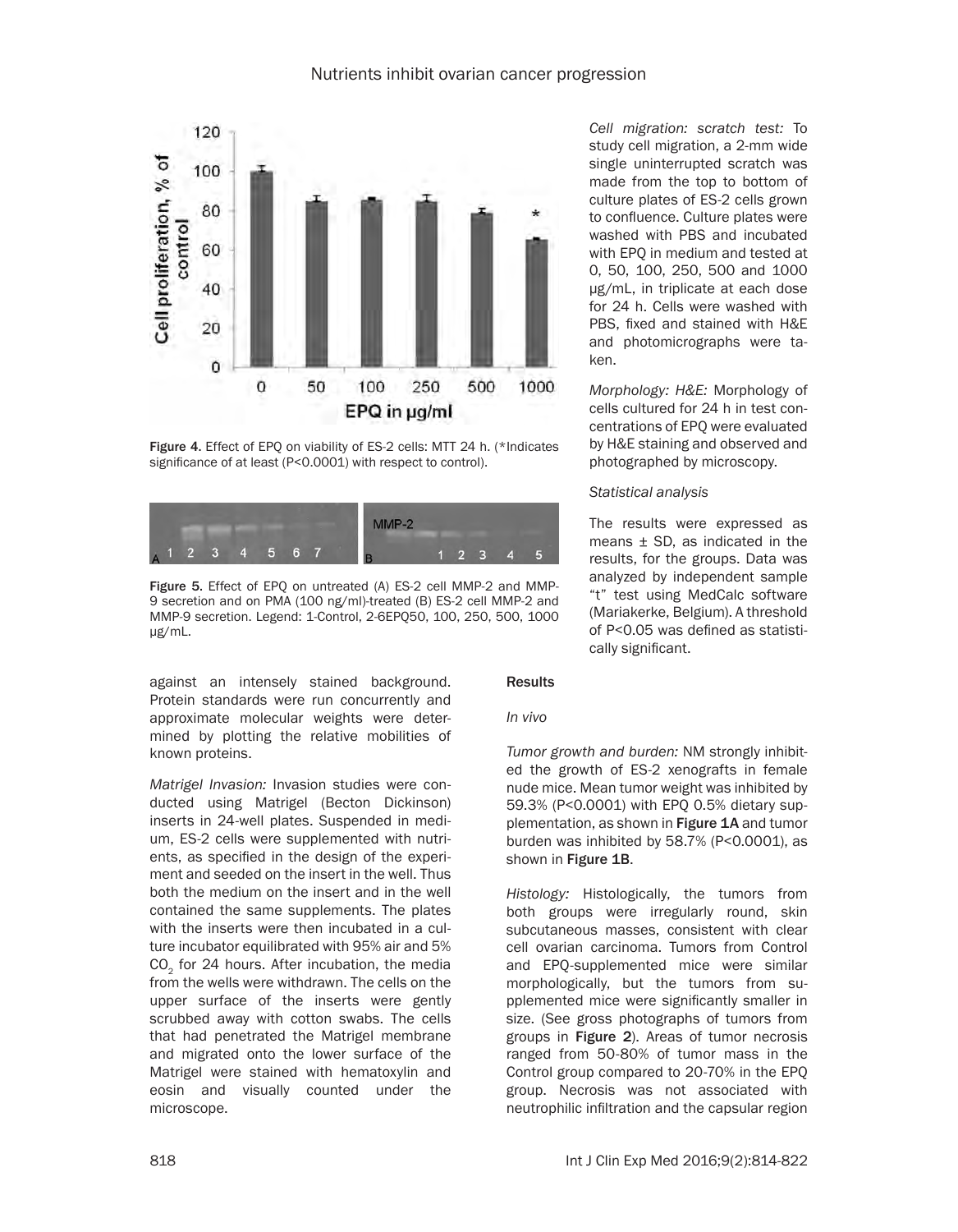

Figure 4. Effect of EPQ on viability of ES-2 cells: MTT 24 h. (\*Indicates significance of at least (P<0.0001) with respect to control).



Figure 5. Effect of EPQ on untreated (A) ES-2 cell MMP-2 and MMP-9 secretion and on PMA (100 ng/ml)-treated (B) ES-2 cell MMP-2 and MMP-9 secretion. Legend: 1-Control, 2-6EPQ50, 100, 250, 500, 1000 μg/mL.

against an intensely stained background. Protein standards were run concurrently and approximate molecular weights were determined by plotting the relative mobilities of known proteins.

*Matrigel Invasion:* Invasion studies were conducted using Matrigel (Becton Dickinson) inserts in 24-well plates. Suspended in medium, ES-2 cells were supplemented with nutrients, as specified in the design of the experiment and seeded on the insert in the well. Thus both the medium on the insert and in the well contained the same supplements. The plates with the inserts were then incubated in a culture incubator equilibrated with 95% air and 5% CO<sub>2</sub> for 24 hours. After incubation, the media from the wells were withdrawn. The cells on the upper surface of the inserts were gently scrubbed away with cotton swabs. The cells that had penetrated the Matrigel membrane and migrated onto the lower surface of the Matrigel were stained with hematoxylin and eosin and visually counted under the microscope.

*Cell migration: scratch test:* To study cell migration, a 2-mm wide single uninterrupted scratch was made from the top to bottom of culture plates of ES-2 cells grown to confluence. Culture plates were washed with PBS and incubated with EPQ in medium and tested at 0, 50, 100, 250, 500 and 1000 μg/mL, in triplicate at each dose for 24 h. Cells were washed with PBS, fixed and stained with H&E and photomicrographs were taken.

*Morphology: H&E:* Morphology of cells cultured for 24 h in test concentrations of EPQ were evaluated by H&E staining and observed and photographed by microscopy.

#### *Statistical analysis*

The results were expressed as means ± SD, as indicated in the results, for the groups. Data was analyzed by independent sample "t" test using MedCalc software (Mariakerke, Belgium). A threshold of P<0.05 was defined as statistically significant.

#### Results

#### *In vivo*

*Tumor growth and burden:* NM strongly inhibited the growth of ES-2 xenografts in female nude mice. Mean tumor weight was inhibited by 59.3% (P<0.0001) with EPQ 0.5% dietary supplementation, as shown in Figure 1A and tumor burden was inhibited by 58.7% (P<0.0001), as shown in Figure 1B.

*Histology:* Histologically, the tumors from both groups were irregularly round, skin subcutaneous masses, consistent with clear cell ovarian carcinoma. Tumors from Control and EPQ-supplemented mice were similar morphologically, but the tumors from supplemented mice were significantly smaller in size. (See gross photographs of tumors from groups in Figure 2). Areas of tumor necrosis ranged from 50-80% of tumor mass in the Control group compared to 20-70% in the EPQ group. Necrosis was not associated with neutrophilic infiltration and the capsular region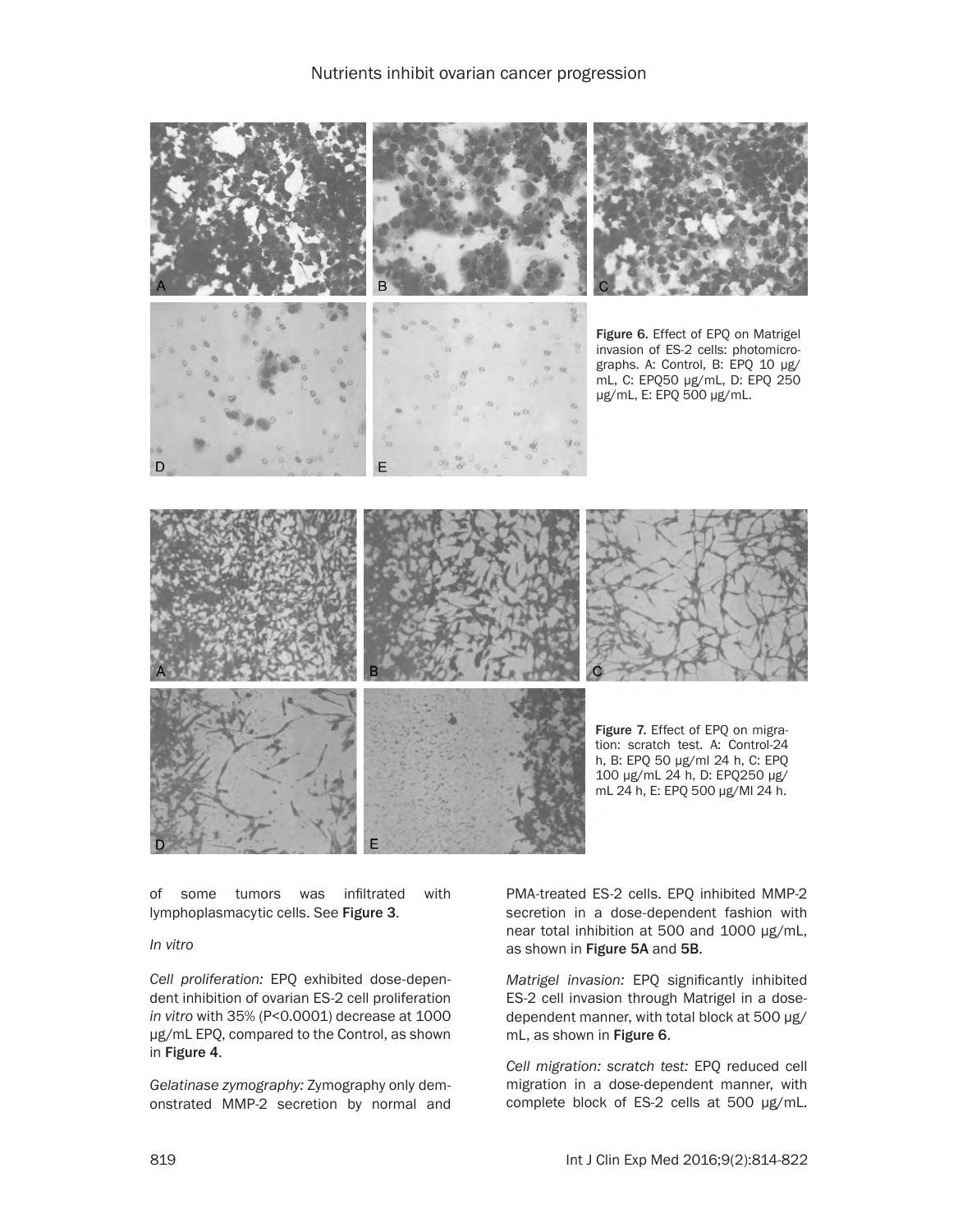

of some tumors was infiltrated with lymphoplasmacytic cells. See Figure 3.

## *In vitro*

*Cell proliferation:* EPQ exhibited dose-dependent inhibition of ovarian ES-2 cell proliferation *in vitro* with 35% (P<0.0001) decrease at 1000 μg/mL EPQ, compared to the Control, as shown in Figure 4.

*Gelatinase zymography:* Zymography only demonstrated MMP-2 secretion by normal and PMA-treated ES-2 cells. EPQ inhibited MMP-2 secretion in a dose-dependent fashion with near total inhibition at 500 and 1000 μg/mL, as shown in Figure 5A and 5B.

*Matrigel invasion:* EPQ significantly inhibited ES-2 cell invasion through Matrigel in a dosedependent manner, with total block at 500 μg/ mL, as shown in Figure 6.

*Cell migration: scratch test:* EPQ reduced cell migration in a dose-dependent manner, with complete block of ES-2 cells at 500 μg/mL.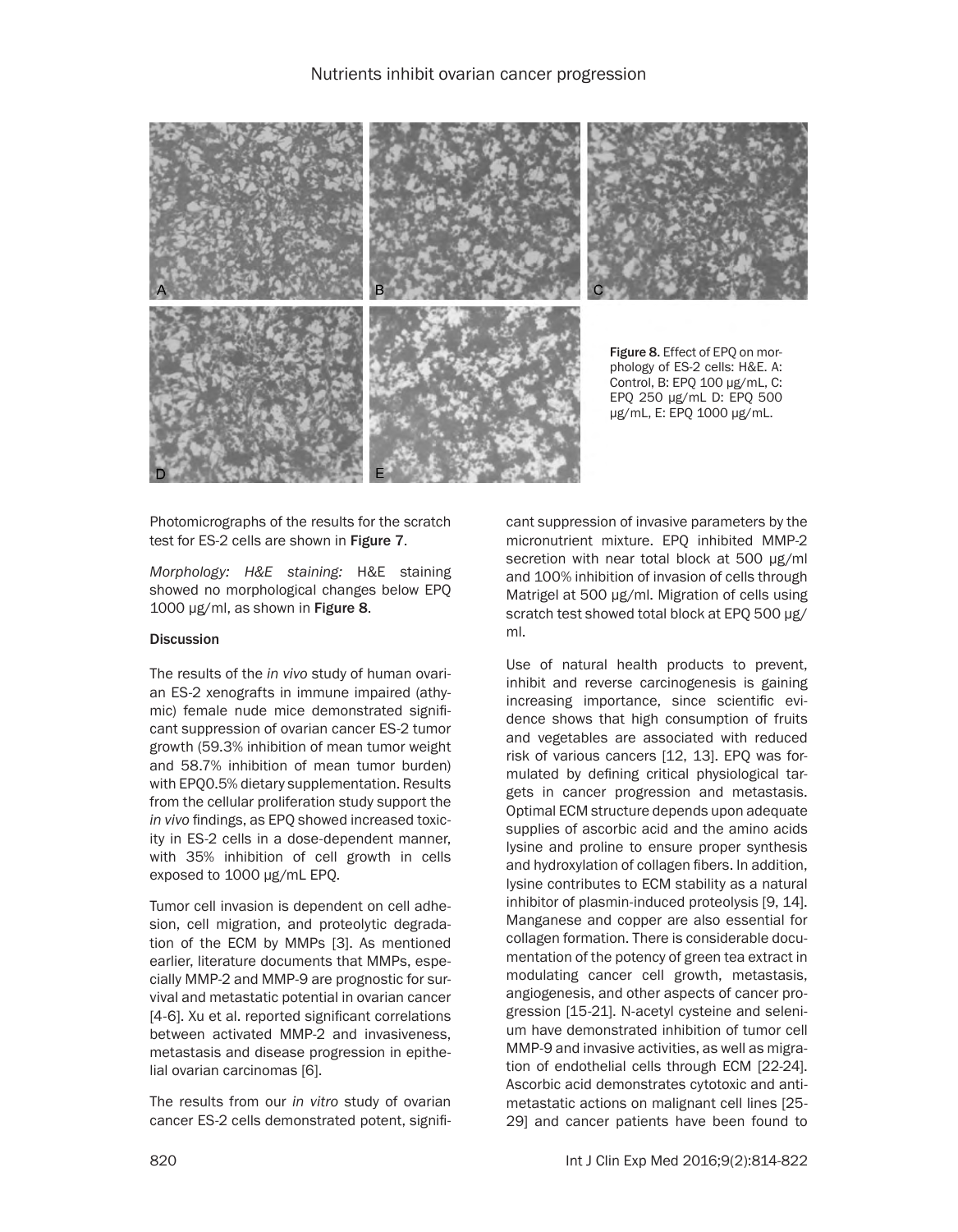

Photomicrographs of the results for the scratch test for ES-2 cells are shown in Figure 7.

*Morphology: H&E staining:* H&E staining showed no morphological changes below EPQ 1000 µg/ml, as shown in Figure 8.

#### **Discussion**

The results of the *in vivo* study of human ovarian ES-2 xenografts in immune impaired (athymic) female nude mice demonstrated significant suppression of ovarian cancer ES-2 tumor growth (59.3% inhibition of mean tumor weight and 58.7% inhibition of mean tumor burden) with EPQ0.5% dietary supplementation. Results from the cellular proliferation study support the *in vivo* findings, as EPQ showed increased toxicity in ES-2 cells in a dose-dependent manner, with 35% inhibition of cell growth in cells exposed to 1000 μg/mL EPQ.

Tumor cell invasion is dependent on cell adhesion, cell migration, and proteolytic degradation of the ECM by MMPs [3]. As mentioned earlier, literature documents that MMPs, especially MMP-2 and MMP-9 are prognostic for survival and metastatic potential in ovarian cancer [4-6]. Xu et al. reported significant correlations between activated MMP-2 and invasiveness, metastasis and disease progression in epithelial ovarian carcinomas [6].

The results from our *in vitro* study of ovarian cancer ES-2 cells demonstrated potent, significant suppression of invasive parameters by the micronutrient mixture. EPQ inhibited MMP-2 secretion with near total block at 500 µg/ml and 100% inhibition of invasion of cells through Matrigel at 500 µg/ml. Migration of cells using scratch test showed total block at EPQ 500 µg/ ml.

Use of natural health products to prevent, inhibit and reverse carcinogenesis is gaining increasing importance, since scientific evidence shows that high consumption of fruits and vegetables are associated with reduced risk of various cancers [12, 13]. EPQ was formulated by defining critical physiological targets in cancer progression and metastasis. Optimal ECM structure depends upon adequate supplies of ascorbic acid and the amino acids lysine and proline to ensure proper synthesis and hydroxylation of collagen fibers. In addition, lysine contributes to ECM stability as a natural inhibitor of plasmin-induced proteolysis [9, 14]. Manganese and copper are also essential for collagen formation. There is considerable documentation of the potency of green tea extract in modulating cancer cell growth, metastasis, angiogenesis, and other aspects of cancer progression [15-21]. N-acetyl cysteine and selenium have demonstrated inhibition of tumor cell MMP-9 and invasive activities, as well as migration of endothelial cells through ECM [22-24]. Ascorbic acid demonstrates cytotoxic and antimetastatic actions on malignant cell lines [25- 29] and cancer patients have been found to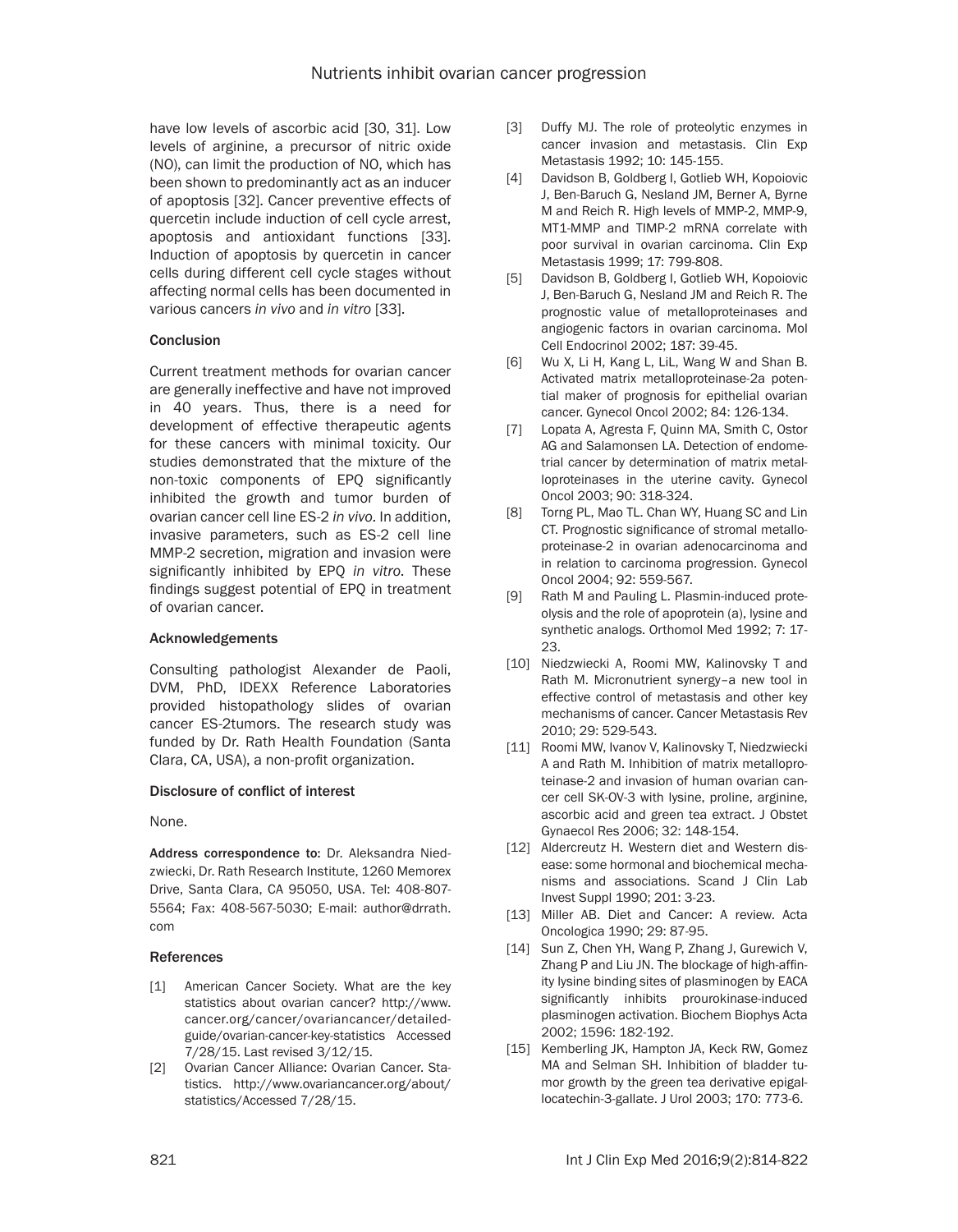have low levels of ascorbic acid [30, 31]. Low levels of arginine, a precursor of nitric oxide (NO), can limit the production of NO, which has been shown to predominantly act as an inducer of apoptosis [32]. Cancer preventive effects of quercetin include induction of cell cycle arrest, apoptosis and antioxidant functions [33]. Induction of apoptosis by quercetin in cancer cells during different cell cycle stages without affecting normal cells has been documented in various cancers *in vivo* and *in vitro* [33].

#### **Conclusion**

Current treatment methods for ovarian cancer are generally ineffective and have not improved in 40 years. Thus, there is a need for development of effective therapeutic agents for these cancers with minimal toxicity. Our studies demonstrated that the mixture of the non-toxic components of EPQ significantly inhibited the growth and tumor burden of ovarian cancer cell line ES-2 *in vivo*. In addition, invasive parameters, such as ES-2 cell line MMP-2 secretion, migration and invasion were significantly inhibited by EPQ *in vitro*. These findings suggest potential of EPQ in treatment of ovarian cancer.

#### Acknowledgements

Consulting pathologist Alexander de Paoli, DVM, PhD, IDEXX Reference Laboratories provided histopathology slides of ovarian cancer ES-2tumors. The research study was funded by Dr. Rath Health Foundation (Santa Clara, CA, USA), a non-profit organization.

## Disclosure of conflict of interest

None.

Address correspondence to: Dr. Aleksandra Niedzwiecki, Dr. Rath Research Institute, 1260 Memorex Drive, Santa Clara, CA 95050, USA. Tel: 408-807- 5564; Fax: 408-567-5030; E-mail: [author@drrath.](mailto:author@drrath.com) [com](mailto:author@drrath.com)

#### References

- [1] American Cancer Society. What are the key statistics about ovarian cancer? http://www. cancer.org/cancer/ovariancancer/detailedguide/ovarian-cancer-key-statistics Accessed 7/28/15. Last revised 3/12/15.
- [2] Ovarian Cancer Alliance: Ovarian Cancer. Statistics. http://www.ovariancancer.org/about/ statistics/Accessed 7/28/15.
- [3] Duffy MJ. The role of proteolytic enzymes in cancer invasion and metastasis. Clin Exp Metastasis 1992; 10: 145-155.
- [4] Davidson B, Goldberg I, Gotlieb WH, Kopoiovic J, Ben-Baruch G, Nesland JM, Berner A, Byrne M and Reich R. High levels of MMP-2, MMP-9, MT1-MMP and TIMP-2 mRNA correlate with poor survival in ovarian carcinoma. Clin Exp Metastasis 1999; 17: 799-808.
- [5] Davidson B, Goldberg I, Gotlieb WH, Kopoiovic J, Ben-Baruch G, Nesland JM and Reich R. The prognostic value of metalloproteinases and angiogenic factors in ovarian carcinoma. Mol Cell Endocrinol 2002; 187: 39-45.
- [6] Wu X, Li H, Kang L, LiL, Wang W and Shan B. Activated matrix metalloproteinase-2a potential maker of prognosis for epithelial ovarian cancer. Gynecol Oncol 2002; 84: 126-134.
- [7] Lopata A, Agresta F, Quinn MA, Smith C, Ostor AG and Salamonsen LA. Detection of endometrial cancer by determination of matrix metalloproteinases in the uterine cavity. Gynecol Oncol 2003; 90: 318-324.
- [8] Torng PL, Mao TL. Chan WY, Huang SC and Lin CT. Prognostic significance of stromal metalloproteinase-2 in ovarian adenocarcinoma and in relation to carcinoma progression. Gynecol Oncol 2004; 92: 559-567.
- [9] Rath M and Pauling L. Plasmin-induced proteolysis and the role of apoprotein (a), lysine and synthetic analogs. Orthomol Med 1992; 7: 17- 23.
- [10] Niedzwiecki A, Roomi MW, Kalinovsky T and Rath M. Micronutrient synergy–a new tool in effective control of metastasis and other key mechanisms of cancer. Cancer Metastasis Rev 2010; 29: 529-543.
- [11] Roomi MW, Ivanov V, Kalinovsky T, Niedzwiecki A and Rath M. Inhibition of matrix metalloproteinase-2 and invasion of human ovarian cancer cell SK-OV-3 with lysine, proline, arginine, ascorbic acid and green tea extract. J Obstet Gynaecol Res 2006; 32: 148-154.
- [12] Aldercreutz H. Western diet and Western disease: some hormonal and biochemical mechanisms and associations. Scand J Clin Lab Invest Suppl 1990; 201: 3-23.
- [13] Miller AB. Diet and Cancer: A review. Acta Oncologica 1990; 29: 87-95.
- [14] Sun Z, Chen YH, Wang P, Zhang J, Gurewich V, Zhang P and Liu JN. The blockage of high-affinity lysine binding sites of plasminogen by EACA significantly inhibits prourokinase-induced plasminogen activation. Biochem Biophys Acta 2002; 1596: 182-192.
- [15] Kemberling JK, Hampton JA, Keck RW, Gomez MA and Selman SH. Inhibition of bladder tumor growth by the green tea derivative epigallocatechin-3-gallate. J Urol 2003; 170: 773-6.